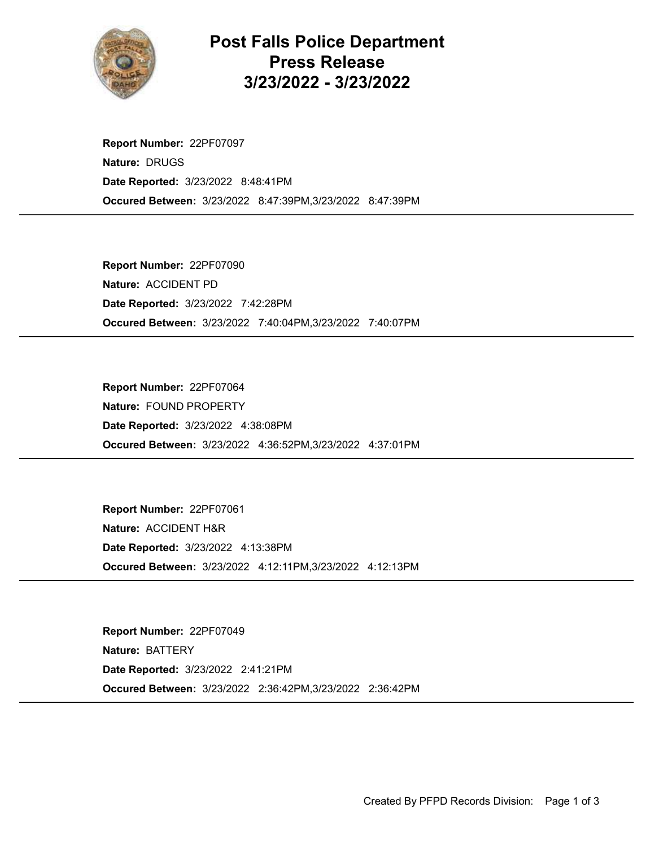

Post Falls Police Department Press Release 3/23/2022 - 3/23/2022

Occured Between: 3/23/2022 8:47:39PM,3/23/2022 8:47:39PM Report Number: 22PF07097 Nature: DRUGS Date Reported: 3/23/2022 8:48:41PM

Occured Between: 3/23/2022 7:40:04PM,3/23/2022 7:40:07PM Report Number: 22PF07090 Nature: ACCIDENT PD Date Reported: 3/23/2022 7:42:28PM

Occured Between: 3/23/2022 4:36:52PM,3/23/2022 4:37:01PM Report Number: 22PF07064 Nature: FOUND PROPERTY Date Reported: 3/23/2022 4:38:08PM

Occured Between: 3/23/2022 4:12:11PM,3/23/2022 4:12:13PM Report Number: 22PF07061 Nature: ACCIDENT H&R Date Reported: 3/23/2022 4:13:38PM

Occured Between: 3/23/2022 2:36:42PM,3/23/2022 2:36:42PM Report Number: 22PF07049 Nature: BATTERY Date Reported: 3/23/2022 2:41:21PM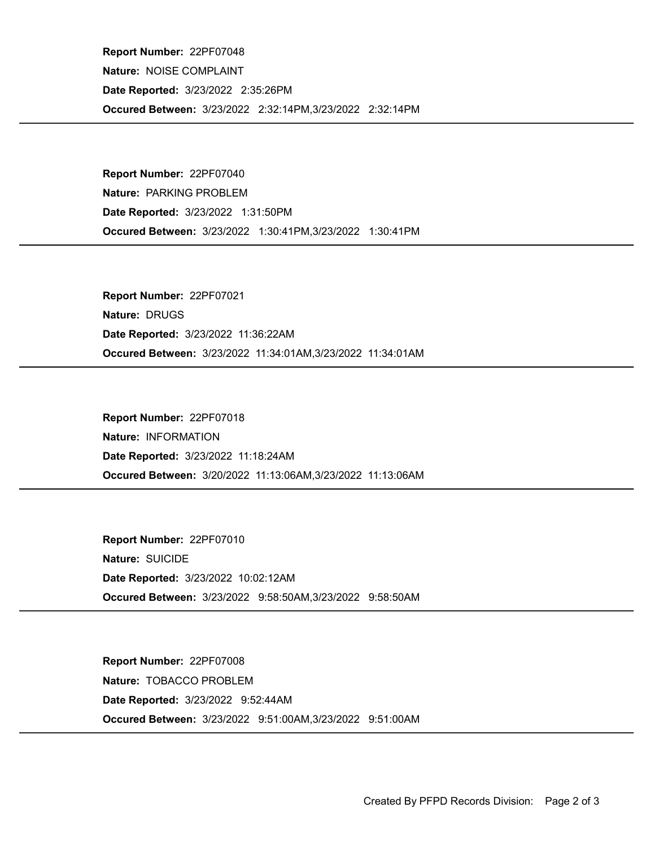Occured Between: 3/23/2022 2:32:14PM,3/23/2022 2:32:14PM Report Number: 22PF07048 Nature: NOISE COMPLAINT Date Reported: 3/23/2022 2:35:26PM

Occured Between: 3/23/2022 1:30:41PM,3/23/2022 1:30:41PM Report Number: 22PF07040 Nature: PARKING PROBLEM Date Reported: 3/23/2022 1:31:50PM

Occured Between: 3/23/2022 11:34:01AM,3/23/2022 11:34:01AM Report Number: 22PF07021 Nature: DRUGS Date Reported: 3/23/2022 11:36:22AM

Occured Between: 3/20/2022 11:13:06AM,3/23/2022 11:13:06AM Report Number: 22PF07018 Nature: INFORMATION Date Reported: 3/23/2022 11:18:24AM

Occured Between: 3/23/2022 9:58:50AM,3/23/2022 9:58:50AM Report Number: 22PF07010 Nature: SUICIDE Date Reported: 3/23/2022 10:02:12AM

Occured Between: 3/23/2022 9:51:00AM,3/23/2022 9:51:00AM Report Number: 22PF07008 Nature: TOBACCO PROBLEM Date Reported: 3/23/2022 9:52:44AM